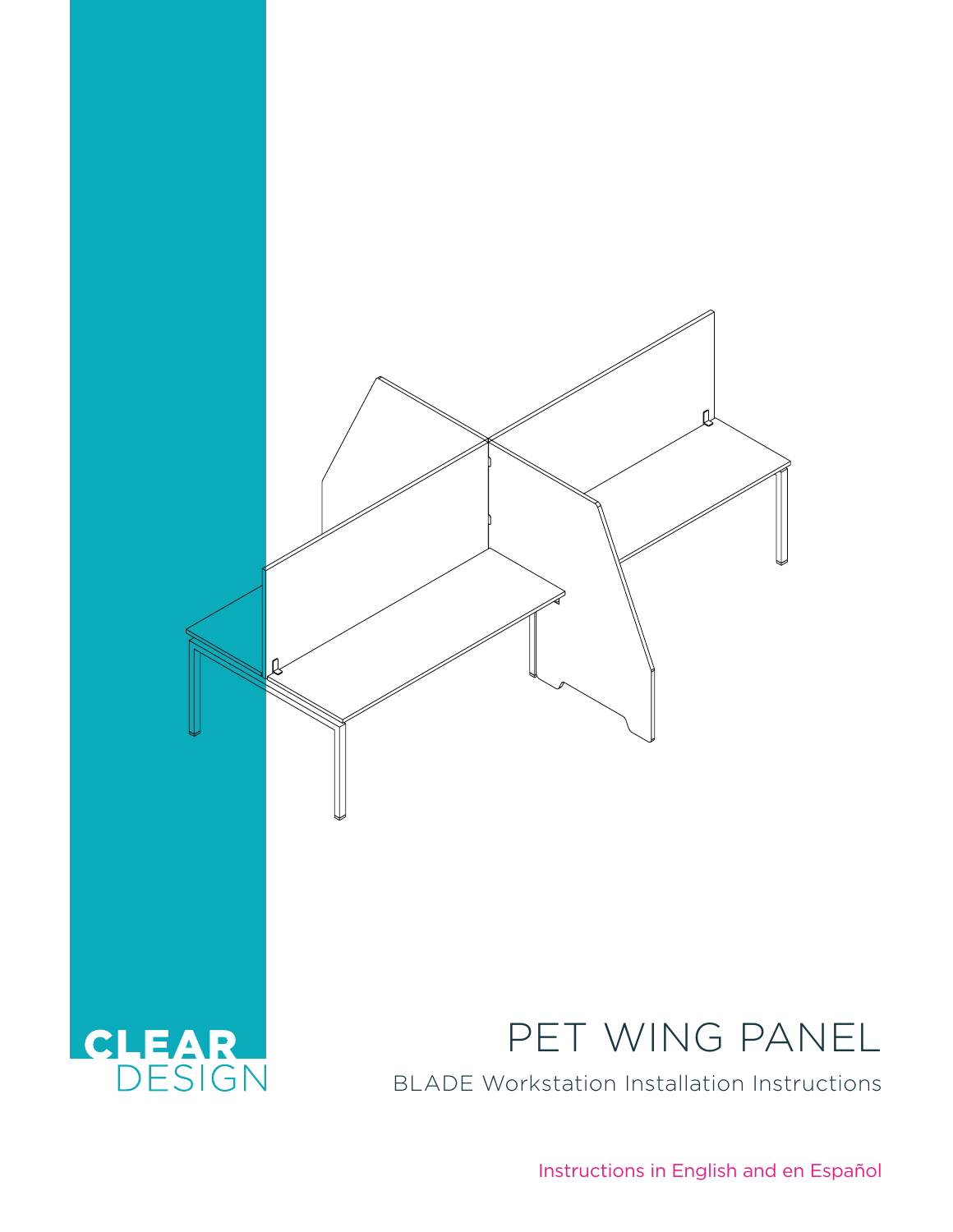

Instructions in English and en Español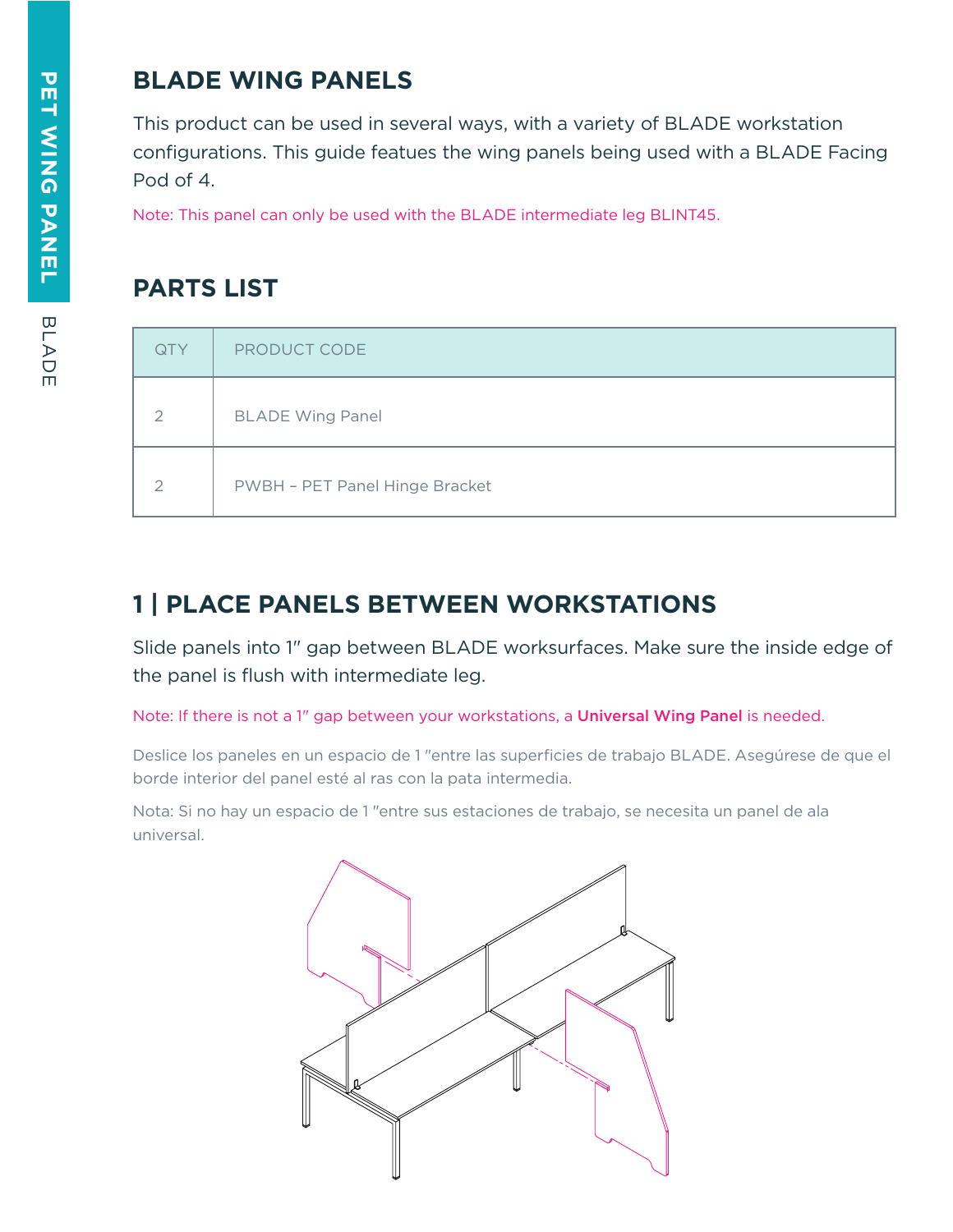## **BLADE WING PANELS**

This product can be used in several ways, with a variety of BLADE workstation configurations. This guide featues the wing panels being used with a BLADE Facing Pod of 4.

Note: This panel can only be used with the BLADE intermediate leg BLINT45.

## **PARTS LIST**

| QTY           | PRODUCT CODE                   |
|---------------|--------------------------------|
| $\mathcal{P}$ | <b>BLADE Wing Panel</b>        |
| $\mathcal{P}$ | PWBH - PET Panel Hinge Bracket |

## **1 | PLACE PANELS BETWEEN WORKSTATIONS**

Slide panels into 1" gap between BLADE worksurfaces. Make sure the inside edge of the panel is flush with intermediate leg.

Note: If there is not a 1" gap between your workstations, a Universal Wing Panel is needed.

Deslice los paneles en un espacio de 1 "entre las superficies de trabajo BLADE. Asegúrese de que el borde interior del panel esté al ras con la pata intermedia.

Nota: Si no hay un espacio de 1 "entre sus estaciones de trabajo, se necesita un panel de ala universal.

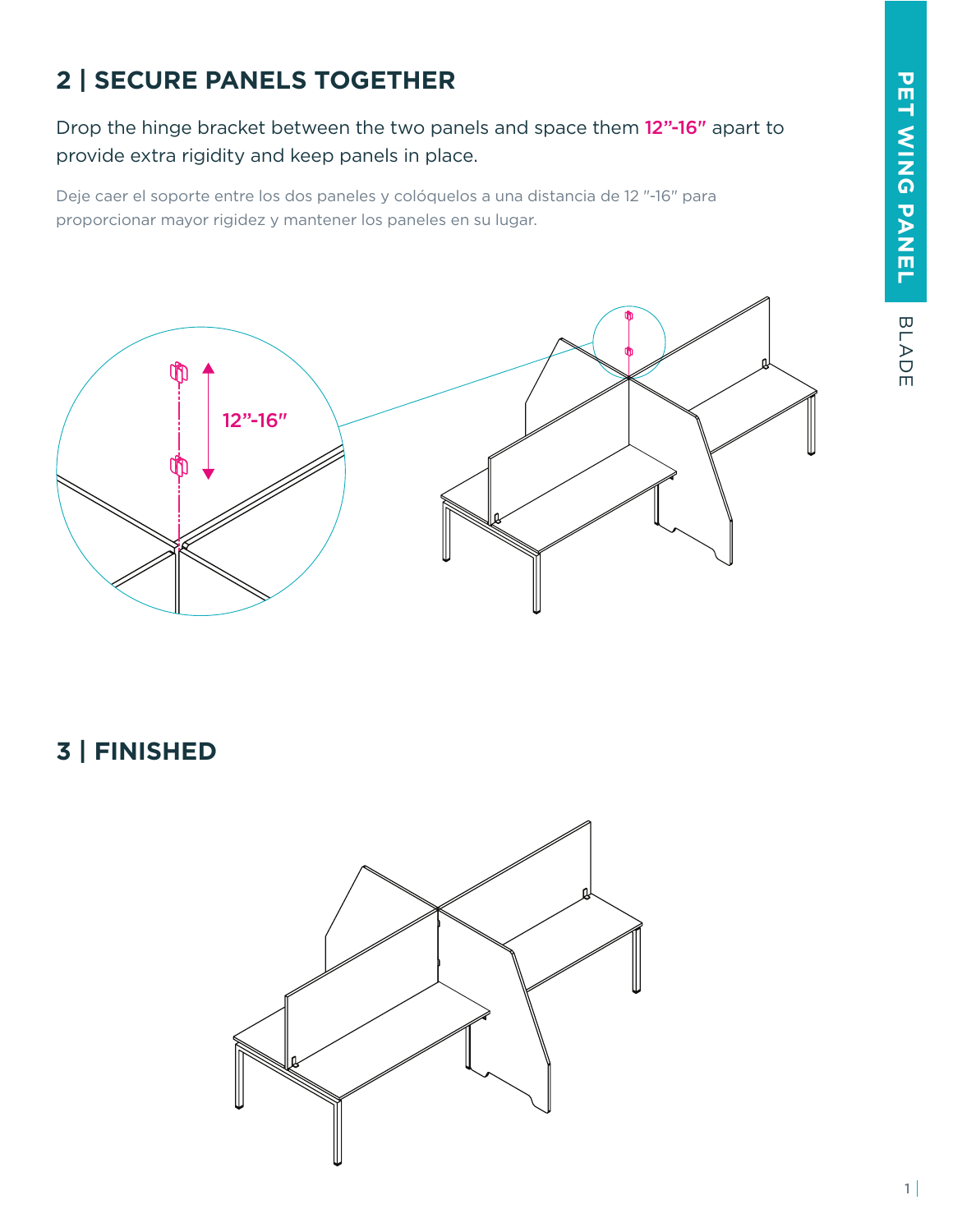## **2 | SECURE PANELS TOGETHER**

Drop the hinge bracket between the two panels and space them 12"-16" apart to provide extra rigidity and keep panels in place.

Deje caer el soporte entre los dos paneles y colóquelos a una distancia de 12 "-16" para proporcionar mayor rigidez y mantener los paneles en su lugar.



**3 | FINISHED**